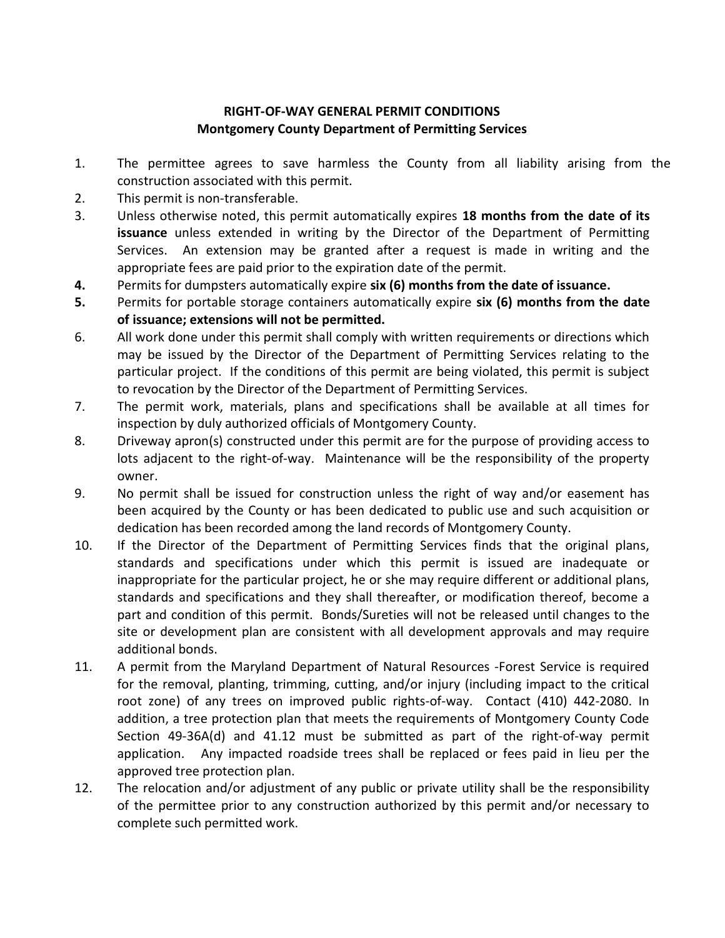## RIGHT-OF-WAY GENERAL PERMIT CONDITIONS Montgomery County Department of Permitting Services

- 1. The permittee agrees to save harmless the County from all liability arising from the construction associated with this permit.
- 2. This permit is non-transferable.
- 3. Unless otherwise noted, this permit automatically expires 18 months from the date of its issuance unless extended in writing by the Director of the Department of Permitting Services. An extension may be granted after a request is made in writing and the appropriate fees are paid prior to the expiration date of the permit.
- 4. Permits for dumpsters automatically expire six (6) months from the date of issuance.
- 5. Permits for portable storage containers automatically expire six (6) months from the date of issuance; extensions will not be permitted.
- 6. All work done under this permit shall comply with written requirements or directions which may be issued by the Director of the Department of Permitting Services relating to the particular project. If the conditions of this permit are being violated, this permit is subject to revocation by the Director of the Department of Permitting Services.
- 7. The permit work, materials, plans and specifications shall be available at all times for inspection by duly authorized officials of Montgomery County.
- 8. Driveway apron(s) constructed under this permit are for the purpose of providing access to lots adjacent to the right-of-way. Maintenance will be the responsibility of the property owner.
- 9. No permit shall be issued for construction unless the right of way and/or easement has been acquired by the County or has been dedicated to public use and such acquisition or dedication has been recorded among the land records of Montgomery County.
- 10. If the Director of the Department of Permitting Services finds that the original plans, standards and specifications under which this permit is issued are inadequate or inappropriate for the particular project, he or she may require different or additional plans, standards and specifications and they shall thereafter, or modification thereof, become a part and condition of this permit. Bonds/Sureties will not be released until changes to the site or development plan are consistent with all development approvals and may require additional bonds.
- 11. A permit from the Maryland Department of Natural Resources -Forest Service is required for the removal, planting, trimming, cutting, and/or injury (including impact to the critical root zone) of any trees on improved public rights-of-way. Contact (410) 442-2080. In addition, a tree protection plan that meets the requirements of Montgomery County Code Section 49-36A(d) and 41.12 must be submitted as part of the right-of-way permit application. Any impacted roadside trees shall be replaced or fees paid in lieu per the approved tree protection plan.
- 12. The relocation and/or adjustment of any public or private utility shall be the responsibility of the permittee prior to any construction authorized by this permit and/or necessary to complete such permitted work.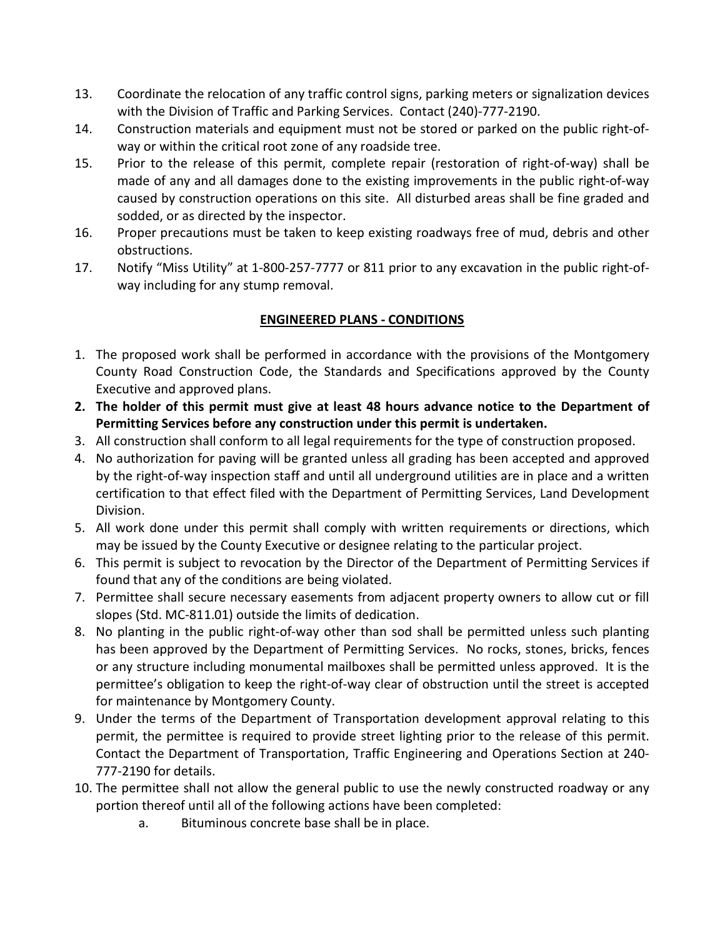- 13. Coordinate the relocation of any traffic control signs, parking meters or signalization devices with the Division of Traffic and Parking Services. Contact (240)-777-2190.
- 14. Construction materials and equipment must not be stored or parked on the public right-ofway or within the critical root zone of any roadside tree.
- 15. Prior to the release of this permit, complete repair (restoration of right-of-way) shall be made of any and all damages done to the existing improvements in the public right-of-way caused by construction operations on this site. All disturbed areas shall be fine graded and sodded, or as directed by the inspector.
- 16. Proper precautions must be taken to keep existing roadways free of mud, debris and other obstructions.
- 17. Notify "Miss Utility" at 1-800-257-7777 or 811 prior to any excavation in the public right-ofway including for any stump removal.

# ENGINEERED PLANS - CONDITIONS

- 1. The proposed work shall be performed in accordance with the provisions of the Montgomery County Road Construction Code, the Standards and Specifications approved by the County Executive and approved plans.
- 2. The holder of this permit must give at least 48 hours advance notice to the Department of Permitting Services before any construction under this permit is undertaken.
- 3. All construction shall conform to all legal requirements for the type of construction proposed.
- 4. No authorization for paving will be granted unless all grading has been accepted and approved by the right-of-way inspection staff and until all underground utilities are in place and a written certification to that effect filed with the Department of Permitting Services, Land Development Division.
- 5. All work done under this permit shall comply with written requirements or directions, which may be issued by the County Executive or designee relating to the particular project.
- 6. This permit is subject to revocation by the Director of the Department of Permitting Services if found that any of the conditions are being violated.
- 7. Permittee shall secure necessary easements from adjacent property owners to allow cut or fill slopes (Std. MC-811.01) outside the limits of dedication.
- 8. No planting in the public right-of-way other than sod shall be permitted unless such planting has been approved by the Department of Permitting Services. No rocks, stones, bricks, fences or any structure including monumental mailboxes shall be permitted unless approved. It is the permittee's obligation to keep the right-of-way clear of obstruction until the street is accepted for maintenance by Montgomery County.
- 9. Under the terms of the Department of Transportation development approval relating to this permit, the permittee is required to provide street lighting prior to the release of this permit. Contact the Department of Transportation, Traffic Engineering and Operations Section at 240- 777-2190 for details.
- 10. The permittee shall not allow the general public to use the newly constructed roadway or any portion thereof until all of the following actions have been completed:
	- a. Bituminous concrete base shall be in place.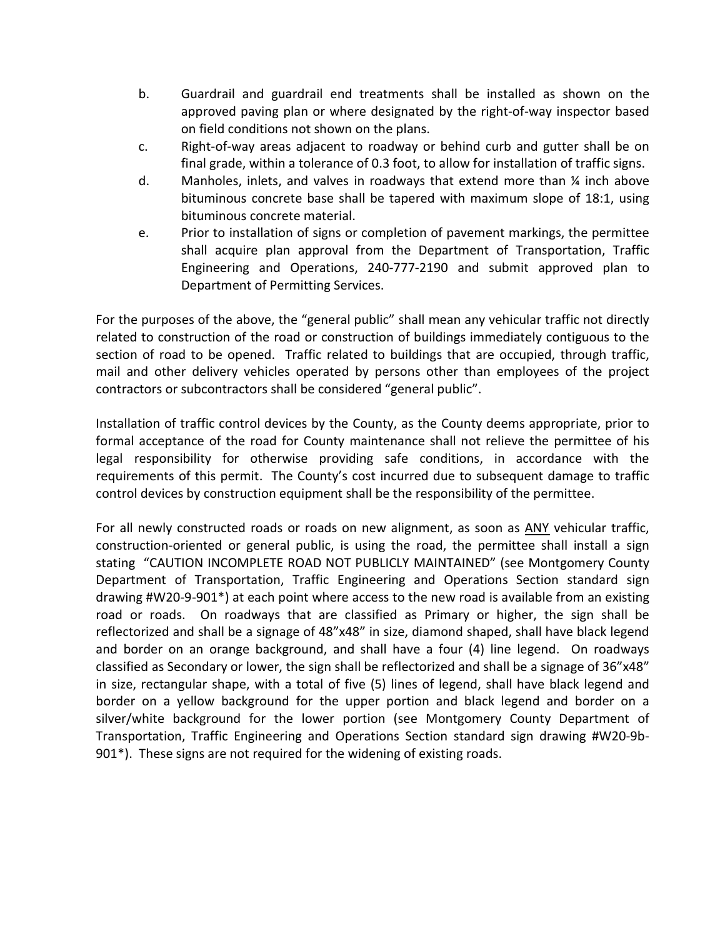- b. Guardrail and guardrail end treatments shall be installed as shown on the approved paving plan or where designated by the right-of-way inspector based on field conditions not shown on the plans.
- c. Right-of-way areas adjacent to roadway or behind curb and gutter shall be on final grade, within a tolerance of 0.3 foot, to allow for installation of traffic signs.
- d. Manholes, inlets, and valves in roadways that extend more than ¼ inch above bituminous concrete base shall be tapered with maximum slope of 18:1, using bituminous concrete material.
- e. Prior to installation of signs or completion of pavement markings, the permittee shall acquire plan approval from the Department of Transportation, Traffic Engineering and Operations, 240-777-2190 and submit approved plan to Department of Permitting Services.

For the purposes of the above, the "general public" shall mean any vehicular traffic not directly related to construction of the road or construction of buildings immediately contiguous to the section of road to be opened. Traffic related to buildings that are occupied, through traffic, mail and other delivery vehicles operated by persons other than employees of the project contractors or subcontractors shall be considered "general public".

Installation of traffic control devices by the County, as the County deems appropriate, prior to formal acceptance of the road for County maintenance shall not relieve the permittee of his legal responsibility for otherwise providing safe conditions, in accordance with the requirements of this permit. The County's cost incurred due to subsequent damage to traffic control devices by construction equipment shall be the responsibility of the permittee.

For all newly constructed roads or roads on new alignment, as soon as ANY vehicular traffic, construction-oriented or general public, is using the road, the permittee shall install a sign stating "CAUTION INCOMPLETE ROAD NOT PUBLICLY MAINTAINED" (see Montgomery County Department of Transportation, Traffic Engineering and Operations Section standard sign drawing #W20-9-901\*) at each point where access to the new road is available from an existing road or roads. On roadways that are classified as Primary or higher, the sign shall be reflectorized and shall be a signage of 48"x48" in size, diamond shaped, shall have black legend and border on an orange background, and shall have a four (4) line legend. On roadways classified as Secondary or lower, the sign shall be reflectorized and shall be a signage of 36"x48" in size, rectangular shape, with a total of five (5) lines of legend, shall have black legend and border on a yellow background for the upper portion and black legend and border on a silver/white background for the lower portion (see Montgomery County Department of Transportation, Traffic Engineering and Operations Section standard sign drawing #W20-9b-901\*). These signs are not required for the widening of existing roads.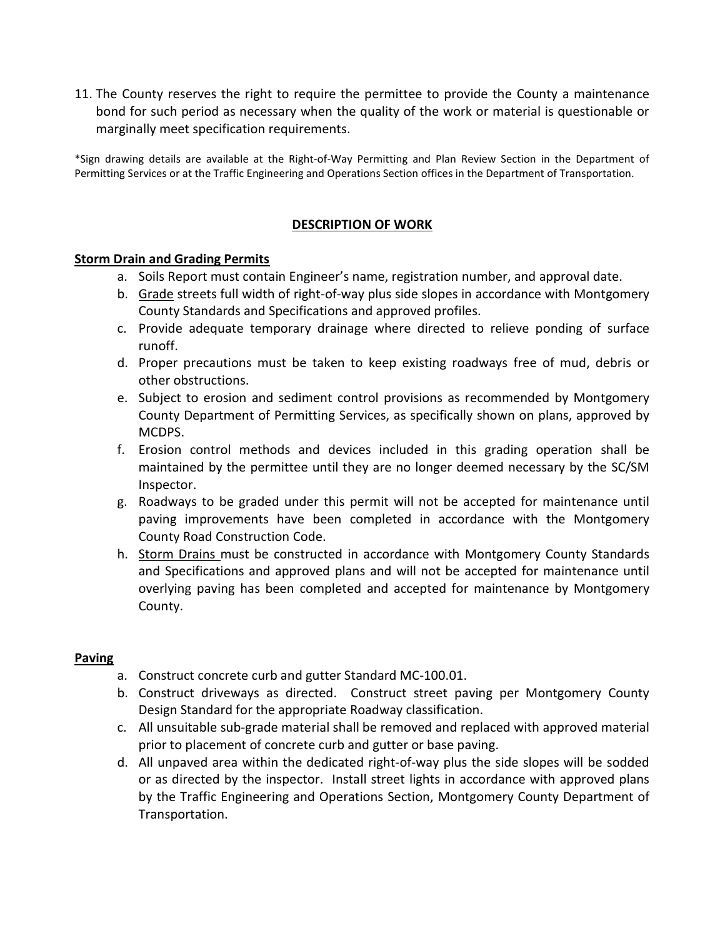11. The County reserves the right to require the permittee to provide the County a maintenance bond for such period as necessary when the quality of the work or material is questionable or marginally meet specification requirements.

\*Sign drawing details are available at the Right-of-Way Permitting and Plan Review Section in the Department of Permitting Services or at the Traffic Engineering and Operations Section offices in the Department of Transportation.

## DESCRIPTION OF WORK

#### Storm Drain and Grading Permits

- a. Soils Report must contain Engineer's name, registration number, and approval date.
- b. Grade streets full width of right-of-way plus side slopes in accordance with Montgomery County Standards and Specifications and approved profiles.
- c. Provide adequate temporary drainage where directed to relieve ponding of surface runoff.
- d. Proper precautions must be taken to keep existing roadways free of mud, debris or other obstructions.
- e. Subject to erosion and sediment control provisions as recommended by Montgomery County Department of Permitting Services, as specifically shown on plans, approved by MCDPS.
- f. Erosion control methods and devices included in this grading operation shall be maintained by the permittee until they are no longer deemed necessary by the SC/SM Inspector.
- g. Roadways to be graded under this permit will not be accepted for maintenance until paving improvements have been completed in accordance with the Montgomery County Road Construction Code.
- h. Storm Drains must be constructed in accordance with Montgomery County Standards and Specifications and approved plans and will not be accepted for maintenance until overlying paving has been completed and accepted for maintenance by Montgomery County.

#### **Paving**

- a. Construct concrete curb and gutter Standard MC-100.01.
- b. Construct driveways as directed. Construct street paving per Montgomery County Design Standard for the appropriate Roadway classification.
- c. All unsuitable sub-grade material shall be removed and replaced with approved material prior to placement of concrete curb and gutter or base paving.
- d. All unpaved area within the dedicated right-of-way plus the side slopes will be sodded or as directed by the inspector. Install street lights in accordance with approved plans by the Traffic Engineering and Operations Section, Montgomery County Department of Transportation.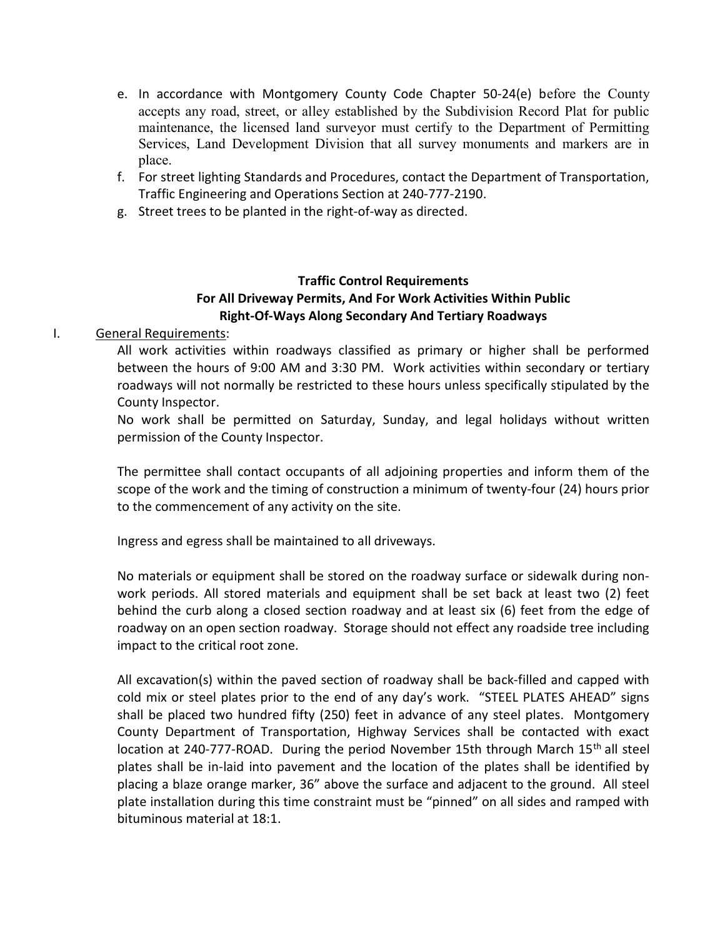- e. In accordance with Montgomery County Code Chapter 50-24(e) before the County accepts any road, street, or alley established by the Subdivision Record Plat for public maintenance, the licensed land surveyor must certify to the Department of Permitting Services, Land Development Division that all survey monuments and markers are in place.
- f. For street lighting Standards and Procedures, contact the Department of Transportation, Traffic Engineering and Operations Section at 240-777-2190.
- g. Street trees to be planted in the right-of-way as directed.

# Traffic Control Requirements For All Driveway Permits, And For Work Activities Within Public Right-Of-Ways Along Secondary And Tertiary Roadways

### I. General Requirements:

All work activities within roadways classified as primary or higher shall be performed between the hours of 9:00 AM and 3:30 PM. Work activities within secondary or tertiary roadways will not normally be restricted to these hours unless specifically stipulated by the County Inspector.

No work shall be permitted on Saturday, Sunday, and legal holidays without written permission of the County Inspector.

The permittee shall contact occupants of all adjoining properties and inform them of the scope of the work and the timing of construction a minimum of twenty-four (24) hours prior to the commencement of any activity on the site.

Ingress and egress shall be maintained to all driveways.

No materials or equipment shall be stored on the roadway surface or sidewalk during nonwork periods. All stored materials and equipment shall be set back at least two (2) feet behind the curb along a closed section roadway and at least six (6) feet from the edge of roadway on an open section roadway. Storage should not effect any roadside tree including impact to the critical root zone.

All excavation(s) within the paved section of roadway shall be back-filled and capped with cold mix or steel plates prior to the end of any day's work. "STEEL PLATES AHEAD" signs shall be placed two hundred fifty (250) feet in advance of any steel plates. Montgomery County Department of Transportation, Highway Services shall be contacted with exact location at 240-777-ROAD. During the period November 15th through March  $15<sup>th</sup>$  all steel plates shall be in-laid into pavement and the location of the plates shall be identified by placing a blaze orange marker, 36" above the surface and adjacent to the ground. All steel plate installation during this time constraint must be "pinned" on all sides and ramped with bituminous material at 18:1.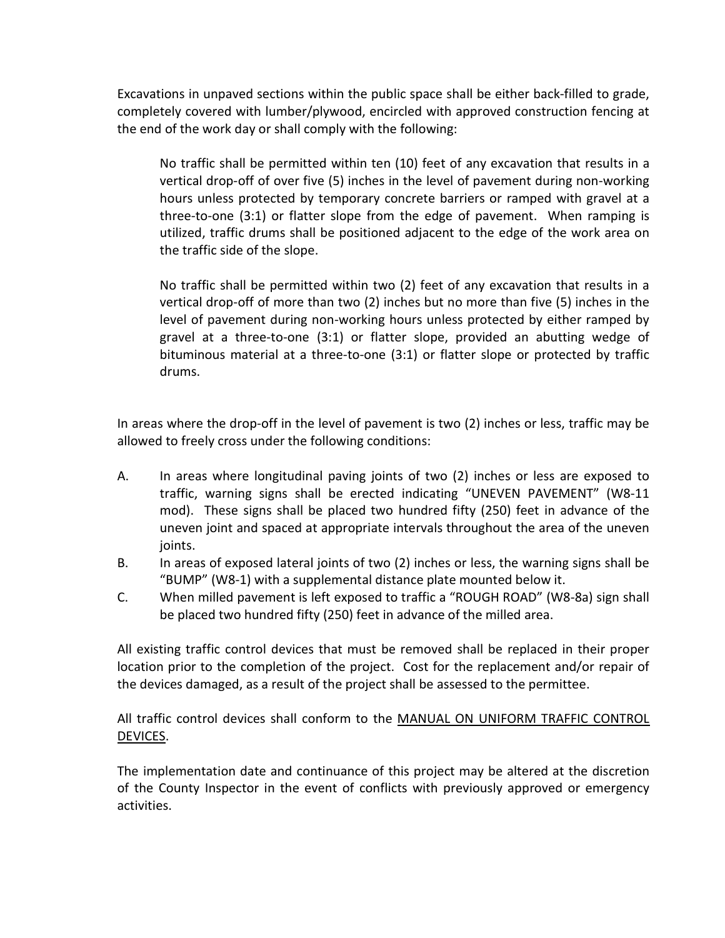Excavations in unpaved sections within the public space shall be either back-filled to grade, completely covered with lumber/plywood, encircled with approved construction fencing at the end of the work day or shall comply with the following:

No traffic shall be permitted within ten (10) feet of any excavation that results in a vertical drop-off of over five (5) inches in the level of pavement during non-working hours unless protected by temporary concrete barriers or ramped with gravel at a three-to-one (3:1) or flatter slope from the edge of pavement. When ramping is utilized, traffic drums shall be positioned adjacent to the edge of the work area on the traffic side of the slope.

No traffic shall be permitted within two (2) feet of any excavation that results in a vertical drop-off of more than two (2) inches but no more than five (5) inches in the level of pavement during non-working hours unless protected by either ramped by gravel at a three-to-one (3:1) or flatter slope, provided an abutting wedge of bituminous material at a three-to-one (3:1) or flatter slope or protected by traffic drums.

In areas where the drop-off in the level of pavement is two (2) inches or less, traffic may be allowed to freely cross under the following conditions:

- A. In areas where longitudinal paving joints of two (2) inches or less are exposed to traffic, warning signs shall be erected indicating "UNEVEN PAVEMENT" (W8-11 mod). These signs shall be placed two hundred fifty (250) feet in advance of the uneven joint and spaced at appropriate intervals throughout the area of the uneven joints.
- B. In areas of exposed lateral joints of two (2) inches or less, the warning signs shall be "BUMP" (W8-1) with a supplemental distance plate mounted below it.
- C. When milled pavement is left exposed to traffic a "ROUGH ROAD" (W8-8a) sign shall be placed two hundred fifty (250) feet in advance of the milled area.

All existing traffic control devices that must be removed shall be replaced in their proper location prior to the completion of the project. Cost for the replacement and/or repair of the devices damaged, as a result of the project shall be assessed to the permittee.

All traffic control devices shall conform to the MANUAL ON UNIFORM TRAFFIC CONTROL DEVICES.

The implementation date and continuance of this project may be altered at the discretion of the County Inspector in the event of conflicts with previously approved or emergency activities.